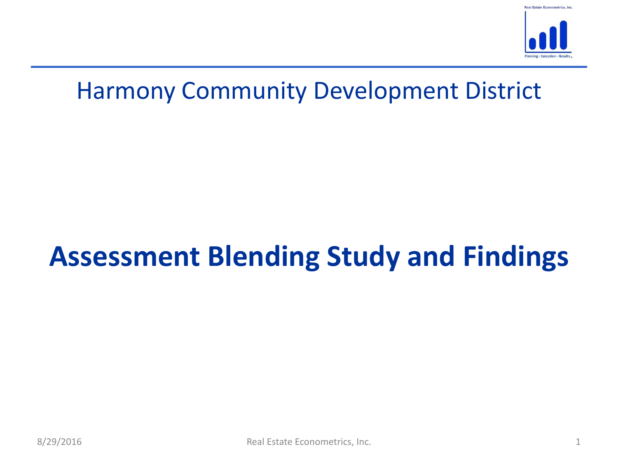

# **Assessment Blending Study and Findings**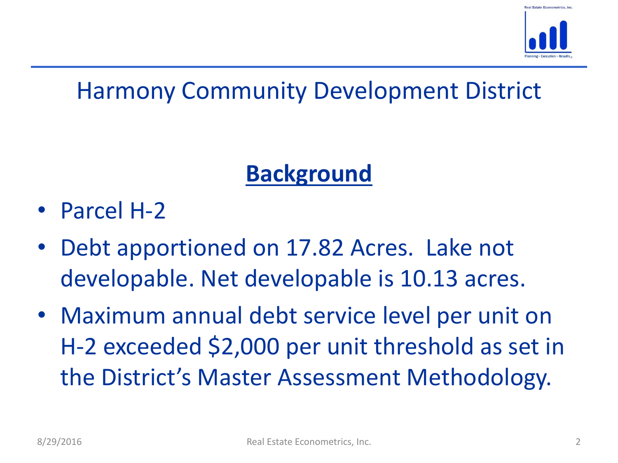

# **Background**

- Parcel H-2
- Debt apportioned on 17.82 Acres. Lake not developable. Net developable is 10.13 acres.
- Maximum annual debt service level per unit on H-2 exceeded \$2,000 per unit threshold as set in the District's Master Assessment Methodology.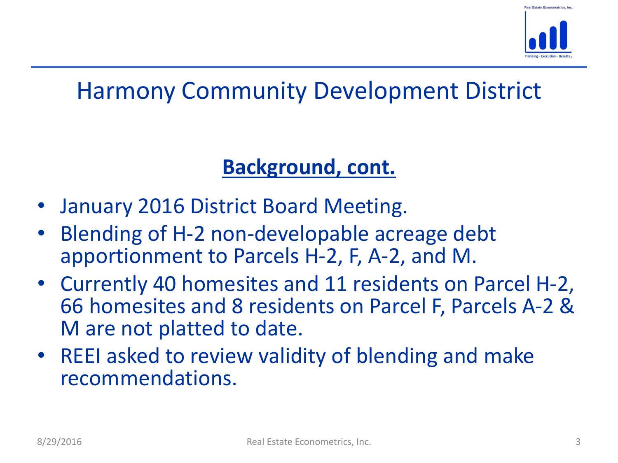

#### **Background, cont.**

- January 2016 District Board Meeting.
- Blending of H-2 non-developable acreage debt apportionment to Parcels H-2, F, A-2, and M.
- Currently 40 homesites and 11 residents on Parcel H-2, 66 homesites and 8 residents on Parcel F, Parcels A-2 & M are not platted to date.
- REEI asked to review validity of blending and make recommendations.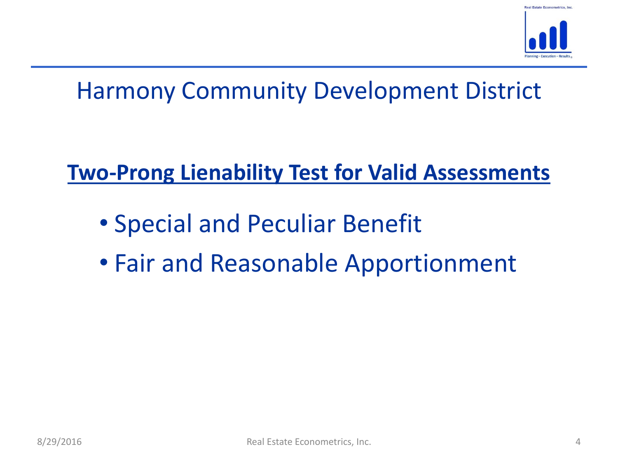

### **Two-Prong Lienability Test for Valid Assessments**

- Special and Peculiar Benefit
- Fair and Reasonable Apportionment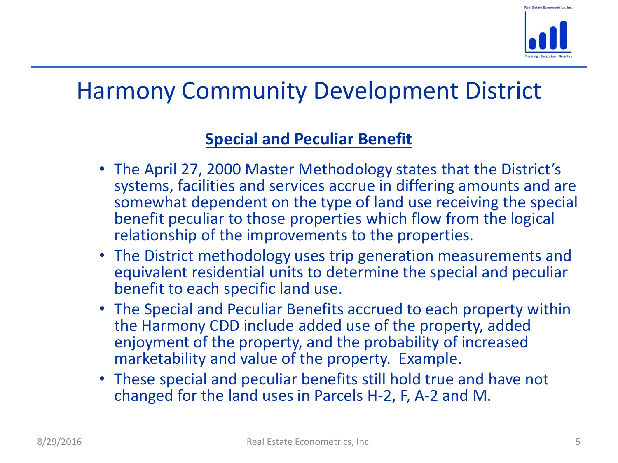

#### **Special and Peculiar Benefit**

- The April 27, 2000 Master Methodology states that the District's systems, facilities and services accrue in differing amounts and are somewhat dependent on the type of land use receiving the special benefit peculiar to those properties which flow from the logical relationship of the improvements to the properties.
- The District methodology uses trip generation measurements and equivalent residential units to determine the special and peculiar benefit to each specific land use.
- The Special and Peculiar Benefits accrued to each property within the Harmony CDD include added use of the property, added enjoyment of the property, and the probability of increased marketability and value of the property. Example.
- These special and peculiar benefits still hold true and have not changed for the land uses in Parcels H-2, F, A-2 and M.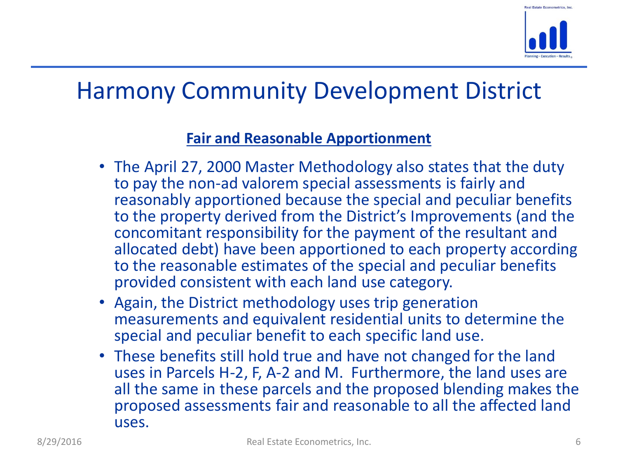

#### **Fair and Reasonable Apportionment**

- The April 27, 2000 Master Methodology also states that the duty to pay the non-ad valorem special assessments is fairly and reasonably apportioned because the special and peculiar benefits to the property derived from the District's Improvements (and the concomitant responsibility for the payment of the resultant and allocated debt) have been apportioned to each property according to the reasonable estimates of the special and peculiar benefits provided consistent with each land use category.
- Again, the District methodology uses trip generation measurements and equivalent residential units to determine the special and peculiar benefit to each specific land use.
- These benefits still hold true and have not changed for the land uses in Parcels H-2, F, A-2 and M. Furthermore, the land uses are all the same in these parcels and the proposed blending makes the proposed assessments fair and reasonable to all the affected land uses.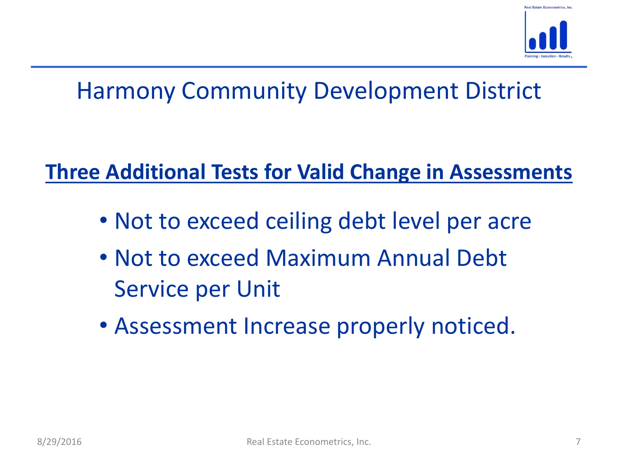

### **Three Additional Tests for Valid Change in Assessments**

- Not to exceed ceiling debt level per acre
- Not to exceed Maximum Annual Debt Service per Unit
- Assessment Increase properly noticed.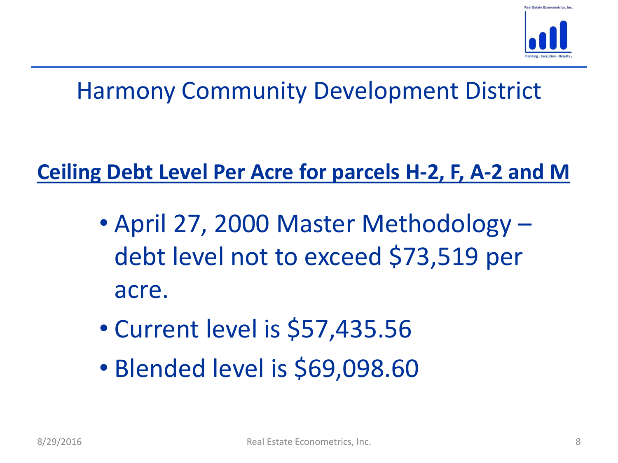

### **Ceiling Debt Level Per Acre for parcels H-2, F, A-2 and M**

- April 27, 2000 Master Methodology debt level not to exceed \$73,519 per acre.
- Current level is \$57,435.56
- Blended level is \$69,098.60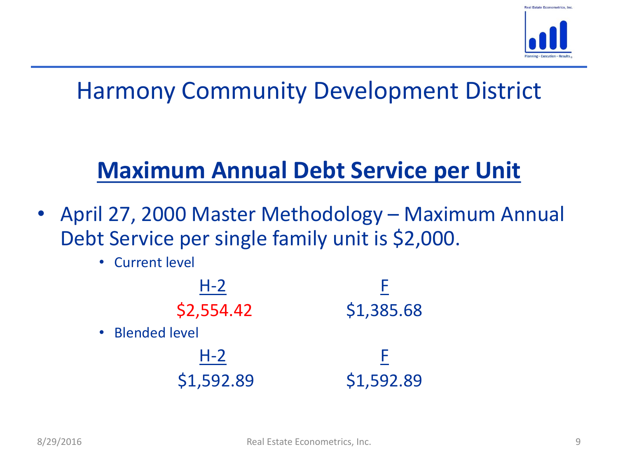

# **Maximum Annual Debt Service per Unit**

- April 27, 2000 Master Methodology Maximum Annual Debt Service per single family unit is \$2,000.
	- Current level

| $H-2$           |            |
|-----------------|------------|
| \$2,554.42      | \$1,385.68 |
| • Blended level |            |
| $H-2$           |            |
| \$1,592.89      | \$1,592.89 |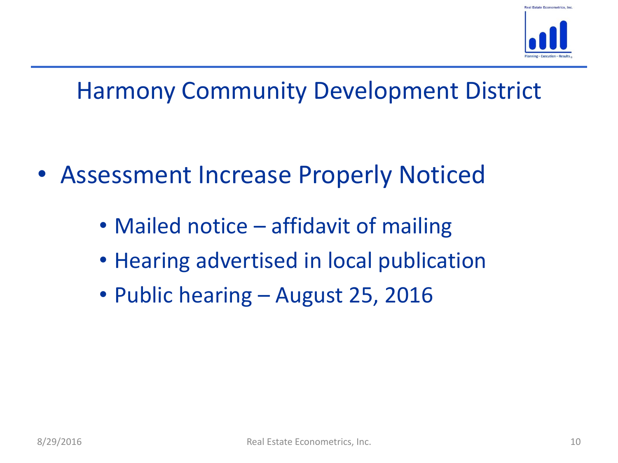

- Assessment Increase Properly Noticed
	- Mailed notice affidavit of mailing
	- Hearing advertised in local publication
	- Public hearing August 25, 2016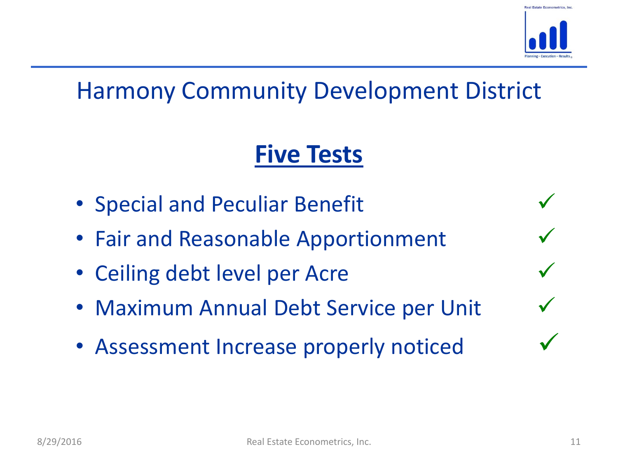

# **Five Tests**

- Special and Peculiar Benefit
- Fair and Reasonable Apportionment
- Ceiling debt level per Acre
- Maximum Annual Debt Service per Unit
- Assessment Increase properly noticed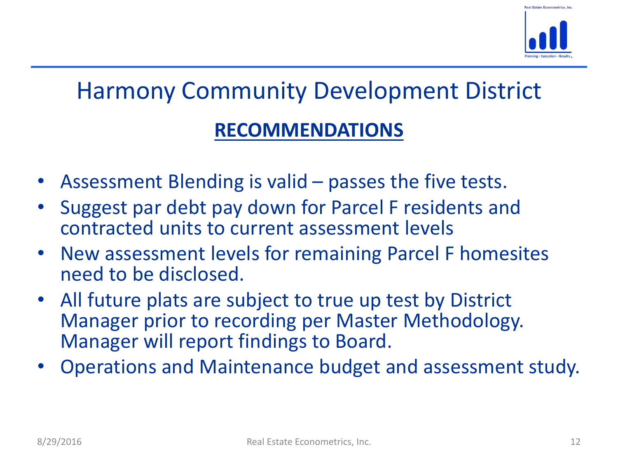

# Harmony Community Development District **RECOMMENDATIONS**

- Assessment Blending is valid passes the five tests.
- Suggest par debt pay down for Parcel F residents and contracted units to current assessment levels
- New assessment levels for remaining Parcel F homesites need to be disclosed.
- All future plats are subject to true up test by District Manager prior to recording per Master Methodology. Manager will report findings to Board.
- Operations and Maintenance budget and assessment study.